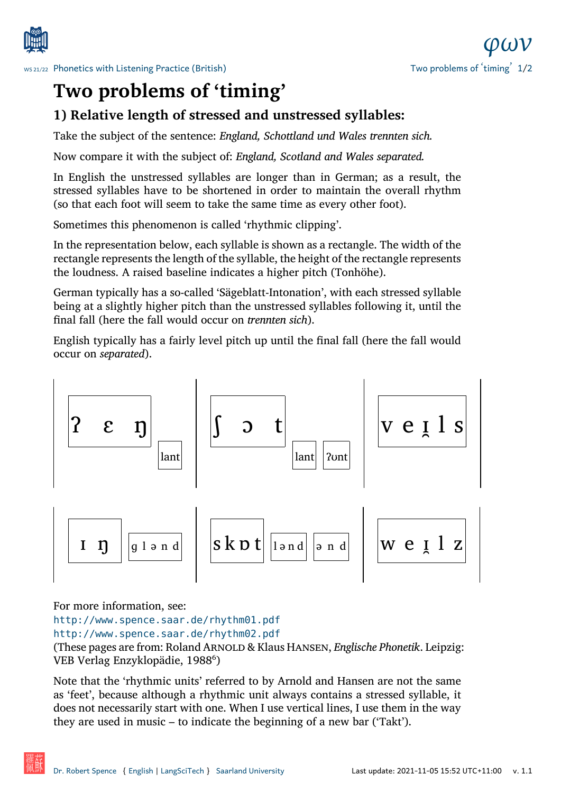



## **Two problems of 'timing'**

## **[1\) Relative length of stresse](http://www.spence.saar.de/courses/phoneticswithlistening/)d and unstressed syllables:**

Take the subject of the sentence: *England, Schottland und Wales trennten sich.*

Now compare it with the subject of: *England, Scotland and Wales separated.*

In English the unstressed syllables are longer than in German; as a result, the stressed syllables have to be shortened in order to maintain the overall rhythm (so that each foot will seem to take the same time as every other foot).

Sometimes this phenomenon is called 'rhythmic clipping'.

In the representation below, each syllable is shown as a rectangle. The width of the rectangle represents the length of the syllable, the height of the rectangle represents the loudness. A raised baseline indicates a higher pitch (Tonhöhe).

German typically has a so-called 'Sägeblatt-Intonation', with each stressed syllable being at a slightly higher pitch than the unstressed syllables following it, until the final fall (here the fall would occur on *trennten sich*).

English typically has a fairly level pitch up until the final fall (here the fall would occur on *separated*).



For more information, see:

http://www.spence.saar.de/rhythm01.pdf

http://www.spence.saar.de/rhythm02.pdf

(These pages are from: Roland Arnold & Klaus Hansen, *Englische Phonetik*. Leipzig: [VEB Verlag Enzyklopädie, 1988⁶\)](http://www.spence.saar.de/rhythm01.pdf)

[Note that the 'rhythmic units' referred to by A](http://www.spence.saar.de/rhythm02.pdf)rnold and Hansen are not the same as 'feet', because although a rhythmic unit always contains a stressed syllable, it does not necessarily start with one. When I use vertical lines, I use them in the way they are used in music – to indicate the beginning of a new bar ('Takt').